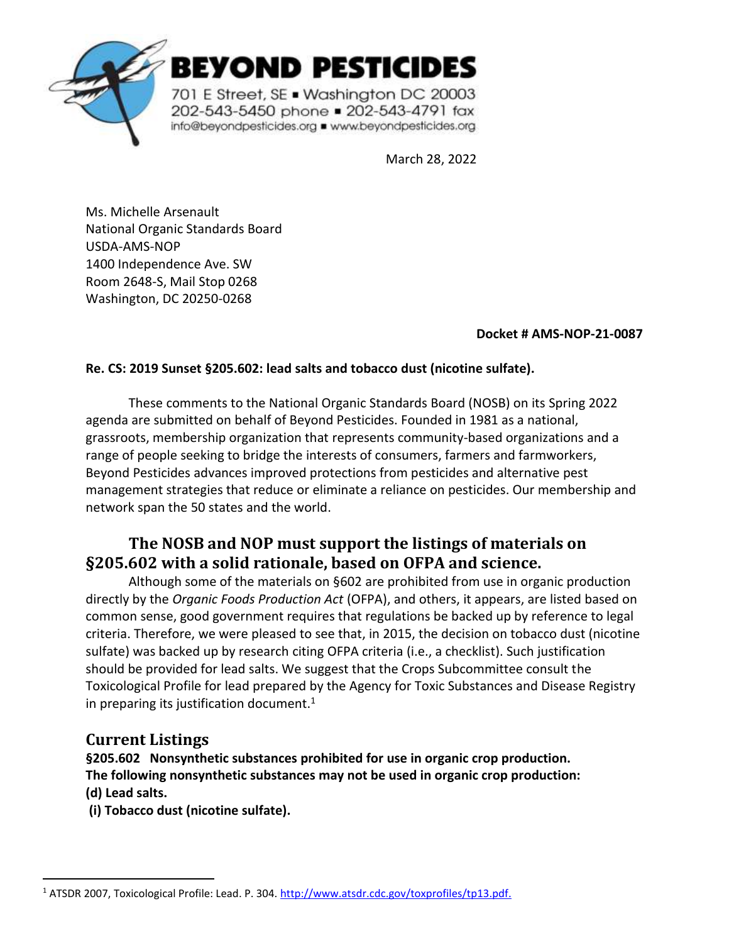

BEYOND PESTICIDES

701 E Street, SE . Washington DC 20003 202-543-5450 phone = 202-543-4791 fax info@beyondpesticides.org = www.beyondpesticides.org

March 28, 2022

Ms. Michelle Arsenault National Organic Standards Board USDA-AMS-NOP 1400 Independence Ave. SW Room 2648-S, Mail Stop 0268 Washington, DC 20250-0268

#### **Docket # AMS-NOP-21-0087**

#### **Re. CS: 2019 Sunset §205.602: lead salts and tobacco dust (nicotine sulfate).**

These comments to the National Organic Standards Board (NOSB) on its Spring 2022 agenda are submitted on behalf of Beyond Pesticides. Founded in 1981 as a national, grassroots, membership organization that represents community-based organizations and a range of people seeking to bridge the interests of consumers, farmers and farmworkers, Beyond Pesticides advances improved protections from pesticides and alternative pest management strategies that reduce or eliminate a reliance on pesticides. Our membership and network span the 50 states and the world.

# **The NOSB and NOP must support the listings of materials on §205.602 with a solid rationale, based on OFPA and science.**

Although some of the materials on §602 are prohibited from use in organic production directly by the *Organic Foods Production Act* (OFPA), and others, it appears, are listed based on common sense, good government requires that regulations be backed up by reference to legal criteria. Therefore, we were pleased to see that, in 2015, the decision on tobacco dust (nicotine sulfate) was backed up by research citing OFPA criteria (i.e., a checklist). Such justification should be provided for lead salts. We suggest that the Crops Subcommittee consult the Toxicological Profile for lead prepared by the Agency for Toxic Substances and Disease Registry in preparing its justification document. $1$ 

## **Current Listings**

**§205.602 Nonsynthetic substances prohibited for use in organic crop production. The following nonsynthetic substances may not be used in organic crop production: (d) Lead salts.** 

**(i) Tobacco dust (nicotine sulfate).** 

<sup>1</sup> ATSDR 2007, Toxicological Profile: Lead. P. 304[. http://www.atsdr.cdc.gov/toxprofiles/tp13.pdf.](http://www.atsdr.cdc.gov/toxprofiles/tp13.pdf)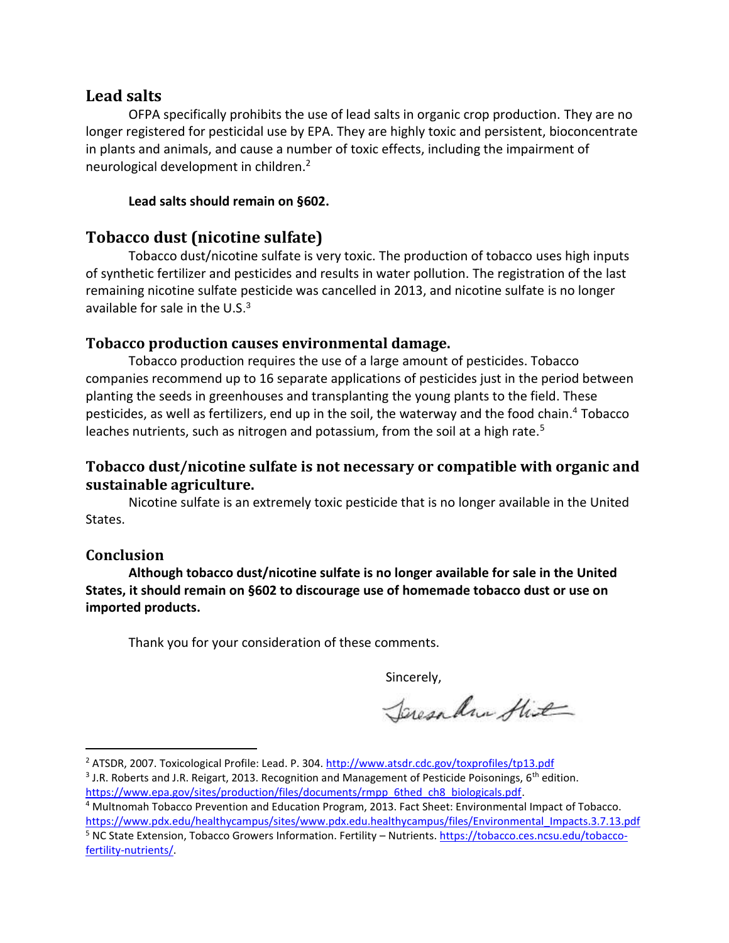### **Lead salts**

OFPA specifically prohibits the use of lead salts in organic crop production. They are no longer registered for pesticidal use by EPA. They are highly toxic and persistent, bioconcentrate in plants and animals, and cause a number of toxic effects, including the impairment of neurological development in children.<sup>2</sup>

#### **Lead salts should remain on §602.**

## **Tobacco dust (nicotine sulfate)**

Tobacco dust/nicotine sulfate is very toxic. The production of tobacco uses high inputs of synthetic fertilizer and pesticides and results in water pollution. The registration of the last remaining nicotine sulfate pesticide was cancelled in 2013, and nicotine sulfate is no longer available for sale in the U.S. $3$ 

### **Tobacco production causes environmental damage.**

Tobacco production requires the use of a large amount of pesticides. Tobacco companies recommend up to 16 separate applications of pesticides just in the period between planting the seeds in greenhouses and transplanting the young plants to the field. These pesticides, as well as fertilizers, end up in the soil, the waterway and the food chain. <sup>4</sup> Tobacco leaches nutrients, such as nitrogen and potassium, from the soil at a high rate.<sup>5</sup>

## **Tobacco dust/nicotine sulfate is not necessary or compatible with organic and sustainable agriculture.**

Nicotine sulfate is an extremely toxic pesticide that is no longer available in the United States.

#### **Conclusion**

**Although tobacco dust/nicotine sulfate is no longer available for sale in the United States, it should remain on §602 to discourage use of homemade tobacco dust or use on imported products.**

Thank you for your consideration of these comments.

Sincerely,

Jaren Am Hit

<sup>2</sup> ATSDR, 2007. Toxicological Profile: Lead. P. 304.<http://www.atsdr.cdc.gov/toxprofiles/tp13.pdf>

<sup>&</sup>lt;sup>3</sup> J.R. Roberts and J.R. Reigart, 2013. Recognition and Management of Pesticide Poisonings, 6<sup>th</sup> edition. https://www.epa.gov/sites/production/files/documents/rmpp\_6thed\_ch8\_biologicals.pdf.

<sup>4</sup> Multnomah Tobacco Prevention and Education Program, 2013. Fact Sheet: Environmental Impact of Tobacco. [https://www.pdx.edu/healthycampus/sites/www.pdx.edu.healthycampus/files/Environmental\\_Impacts.3.7.13.pdf](https://www.pdx.edu/healthycampus/sites/www.pdx.edu.healthycampus/files/Environmental_Impacts.3.7.13.pdf)

<sup>5</sup> NC State Extension, Tobacco Growers Information. Fertility – Nutrients[. https://tobacco.ces.ncsu.edu/tobacco](https://tobacco.ces.ncsu.edu/tobacco-fertility-nutrients/)[fertility-nutrients/.](https://tobacco.ces.ncsu.edu/tobacco-fertility-nutrients/)